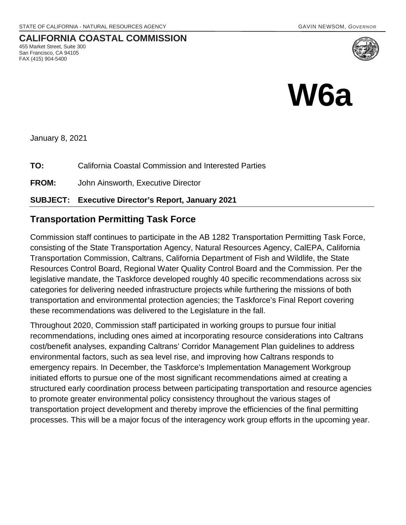**CALIFORNIA COASTAL COMMISSION**



January 8, 2021

455 Market Street, Suite 300 San Francisco, CA 94105 FAX (415) 904-5400

**TO:** California Coastal Commission and Interested Parties

**FROM:** John Ainsworth, Executive Director

#### **SUBJECT: Executive Director's Report, January 2021**

### **Transportation Permitting Task Force**

Commission staff continues to participate in the AB 1282 Transportation Permitting Task Force, consisting of the State Transportation Agency, Natural Resources Agency, CalEPA, California Transportation Commission, Caltrans, California Department of Fish and Wildlife, the State Resources Control Board, Regional Water Quality Control Board and the Commission. Per the legislative mandate, the Taskforce developed roughly 40 specific recommendations across six categories for delivering needed infrastructure projects while furthering the missions of both transportation and environmental protection agencies; the Taskforce's Final Report covering these recommendations was delivered to the Legislature in the fall.

Throughout 2020, Commission staff participated in working groups to pursue four initial recommendations, including ones aimed at incorporating resource considerations into Caltrans cost/benefit analyses, expanding Caltrans' Corridor Management Plan guidelines to address environmental factors, such as sea level rise, and improving how Caltrans responds to emergency repairs. In December, the Taskforce's Implementation Management Workgroup initiated efforts to pursue one of the most significant recommendations aimed at creating a structured early coordination process between participating transportation and resource agencies to promote greater environmental policy consistency throughout the various stages of transportation project development and thereby improve the efficiencies of the final permitting processes. This will be a major focus of the interagency work group efforts in the upcoming year.